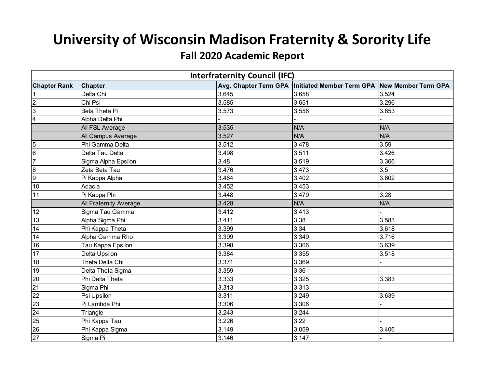## **University of Wisconsin Madison Fraternity & Sorority Life**

## **Fall 2020 Academic Report**

| <b>Interfraternity Council (IFC)</b> |                        |       |                                                                         |       |  |
|--------------------------------------|------------------------|-------|-------------------------------------------------------------------------|-------|--|
| <b>Chapter Rank</b>                  | <b>Chapter</b>         |       | Avg. Chapter Term GPA   Initiated Member Term GPA   New Member Term GPA |       |  |
|                                      | Delta Chi              | 3.645 | 3.658                                                                   | 3.524 |  |
| $\overline{2}$                       | Chi Psi                | 3.585 | 3.651                                                                   | 3.296 |  |
| $\overline{3}$                       | Beta Theta Pi          | 3.573 | 3.556                                                                   | 3.653 |  |
| 4                                    | Alpha Delta Phi        |       |                                                                         |       |  |
|                                      | All FSL Average        | 3.535 | N/A                                                                     | N/A   |  |
|                                      | All Campus Average     | 3.527 | N/A                                                                     | N/A   |  |
| $\overline{5}$                       | Phi Gamma Delta        | 3.512 | 3.478                                                                   | 3.59  |  |
| 6                                    | Delta Tau Delta        | 3.498 | 3.511                                                                   | 3.426 |  |
| $\overline{7}$                       | Sigma Alpha Epsilon    | 3.48  | 3.519                                                                   | 3.366 |  |
| $\overline{8}$                       | Zeta Beta Tau          | 3.476 | 3.473                                                                   | 3.5   |  |
| $\overline{9}$                       | Pi Kappa Alpha         | 3.464 | 3.402                                                                   | 3.602 |  |
| 10                                   | Acacia                 | 3.452 | 3.453                                                                   |       |  |
| 11                                   | Pi Kappa Phi           | 3.448 | 3.479                                                                   | 3.28  |  |
|                                      | All Fraternity Average | 3.428 | N/A                                                                     | N/A   |  |
| 12                                   | Sigma Tau Gamma        | 3.412 | 3.413                                                                   |       |  |
| 13                                   | Alpha Sigma Phi        | 3.411 | 3.38                                                                    | 3.583 |  |
| 14                                   | Phi Kappa Theta        | 3.399 | 3.34                                                                    | 3.618 |  |
| 14                                   | Alpha Gamma Rho        | 3.399 | 3.349                                                                   | 3.716 |  |
| 16                                   | Tau Kappa Epsilon      | 3.398 | 3.306                                                                   | 3.639 |  |
| $\overline{17}$                      | Delta Upsilon          | 3.384 | 3.355                                                                   | 3.518 |  |
| 18                                   | Theta Delta Chi        | 3.371 | 3.369                                                                   |       |  |
| 19                                   | Delta Theta Sigma      | 3.359 | 3.36                                                                    |       |  |
| 20                                   | Phi Delta Theta        | 3.333 | 3.325                                                                   | 3.383 |  |
| 21                                   | Sigma Phi              | 3.313 | 3.313                                                                   |       |  |
| 22                                   | Psi Upsilon            | 3.311 | 3.249                                                                   | 3.639 |  |
| 23                                   | Pi Lambda Phi          | 3.306 | 3.306                                                                   |       |  |
| 24                                   | Triangle               | 3.243 | 3.244                                                                   |       |  |
| 25                                   | Phi Kappa Tau          | 3.226 | 3.22                                                                    |       |  |
| 26                                   | Phi Kappa Sigma        | 3.149 | 3.059                                                                   | 3.406 |  |
| $\overline{27}$                      | Sigma Pi               | 3.146 | 3.147                                                                   |       |  |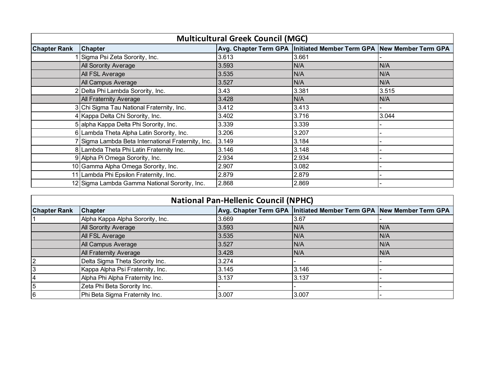| <b>Multicultural Greek Council (MGC)</b> |                                                  |       |                                                                         |       |  |
|------------------------------------------|--------------------------------------------------|-------|-------------------------------------------------------------------------|-------|--|
| <b>Chapter Rank</b>                      | <b>Chapter</b>                                   |       | Avg. Chapter Term GPA   Initiated Member Term GPA   New Member Term GPA |       |  |
|                                          | Sigma Psi Zeta Sorority, Inc.                    | 3.613 | 3.661                                                                   |       |  |
|                                          | All Sorority Average                             | 3.593 | N/A                                                                     | N/A   |  |
|                                          | All FSL Average                                  | 3.535 | N/A                                                                     | N/A   |  |
|                                          | All Campus Average                               | 3.527 | N/A                                                                     | N/A   |  |
|                                          | Delta Phi Lambda Sorority, Inc.                  | 3.43  | 3.381                                                                   | 3.515 |  |
|                                          | <b>All Fraternity Average</b>                    | 3.428 | N/A                                                                     | N/A   |  |
|                                          | Chi Sigma Tau National Fraternity, Inc.          | 3.412 | 3.413                                                                   |       |  |
|                                          | 4 Kappa Delta Chi Sorority, Inc.                 | 3.402 | 3.716                                                                   | 3.044 |  |
|                                          | 5 alpha Kappa Delta Phi Sorority, Inc.           | 3.339 | 3.339                                                                   |       |  |
|                                          | 6 Lambda Theta Alpha Latin Sorority, Inc.        | 3.206 | 3.207                                                                   |       |  |
|                                          | Sigma Lambda Beta International Fraternity, Inc. | 3.149 | 3.184                                                                   |       |  |
|                                          | 8 Lambda Theta Phi Latin Fraternity Inc.         | 3.146 | 3.148                                                                   |       |  |
|                                          | 9 Alpha Pi Omega Sorority, Inc.                  | 2.934 | 2.934                                                                   |       |  |
|                                          | 10 Gamma Alpha Omega Sorority, Inc.              | 2.907 | 3.082                                                                   |       |  |
|                                          | 11 Lambda Phi Epsilon Fraternity, Inc.           | 2.879 | 2.879                                                                   |       |  |
|                                          | 12 Sigma Lambda Gamma National Sorority, Inc.    | 2.868 | 2.869                                                                   |       |  |

| <b>National Pan-Hellenic Council (NPHC)</b> |                                  |       |                                                                     |      |  |
|---------------------------------------------|----------------------------------|-------|---------------------------------------------------------------------|------|--|
| <b>Chapter Rank</b>                         | <b>Chapter</b>                   |       | Avg. Chapter Term GPA Initiated Member Term GPA New Member Term GPA |      |  |
|                                             | Alpha Kappa Alpha Sorority, Inc. | 3.669 | 3.67                                                                |      |  |
|                                             | <b>All Sorority Average</b>      | 3.593 | N/A                                                                 | IN/A |  |
|                                             | All FSL Average                  | 3.535 | N/A                                                                 | IN/A |  |
|                                             | All Campus Average               | 3.527 | N/A                                                                 | IN/A |  |
|                                             | <b>All Fraternity Average</b>    | 3.428 | N/A                                                                 | IN/A |  |
| 2                                           | Delta Sigma Theta Sorority Inc.  | 3.274 |                                                                     |      |  |
|                                             | Kappa Alpha Psi Fraternity, Inc. | 3.145 | 3.146                                                               |      |  |
| 4                                           | Alpha Phi Alpha Fraternity Inc.  | 3.137 | 3.137                                                               |      |  |
| 5                                           | Zeta Phi Beta Sorority Inc.      |       |                                                                     |      |  |
| 6                                           | Phi Beta Sigma Fraternity Inc.   | 3.007 | 3.007                                                               |      |  |